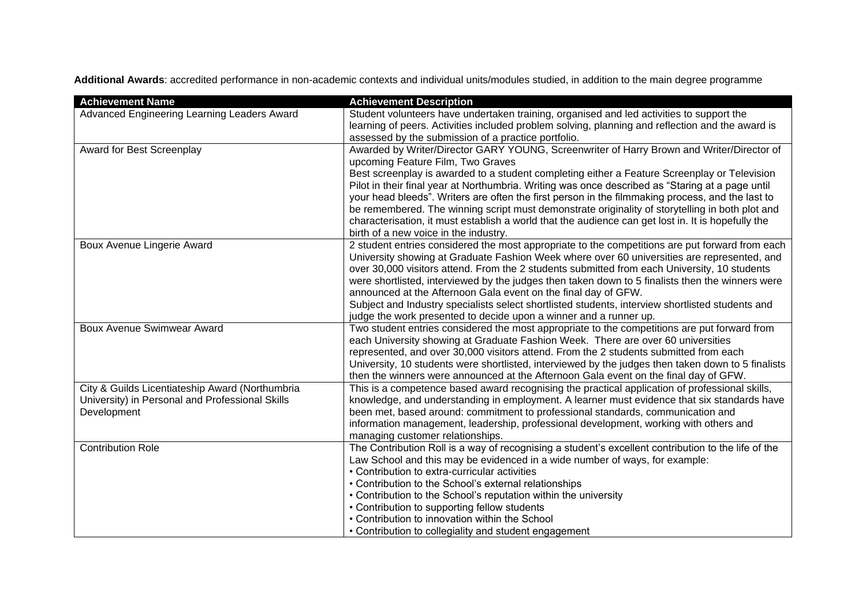**Additional Awards**: accredited performance in non-academic contexts and individual units/modules studied, in addition to the main degree programme

| <b>Achievement Name</b>                                                                                           | <b>Achievement Description</b>                                                                                                                                                                                                                                                                                                                                                                                                                                                                                                                                                                                                                                                           |
|-------------------------------------------------------------------------------------------------------------------|------------------------------------------------------------------------------------------------------------------------------------------------------------------------------------------------------------------------------------------------------------------------------------------------------------------------------------------------------------------------------------------------------------------------------------------------------------------------------------------------------------------------------------------------------------------------------------------------------------------------------------------------------------------------------------------|
| Advanced Engineering Learning Leaders Award                                                                       | Student volunteers have undertaken training, organised and led activities to support the<br>learning of peers. Activities included problem solving, planning and reflection and the award is<br>assessed by the submission of a practice portfolio.                                                                                                                                                                                                                                                                                                                                                                                                                                      |
| Award for Best Screenplay                                                                                         | Awarded by Writer/Director GARY YOUNG, Screenwriter of Harry Brown and Writer/Director of<br>upcoming Feature Film, Two Graves<br>Best screenplay is awarded to a student completing either a Feature Screenplay or Television<br>Pilot in their final year at Northumbria. Writing was once described as "Staring at a page until<br>your head bleeds". Writers are often the first person in the filmmaking process, and the last to<br>be remembered. The winning script must demonstrate originality of storytelling in both plot and<br>characterisation, it must establish a world that the audience can get lost in. It is hopefully the<br>birth of a new voice in the industry. |
| Boux Avenue Lingerie Award                                                                                        | 2 student entries considered the most appropriate to the competitions are put forward from each<br>University showing at Graduate Fashion Week where over 60 universities are represented, and<br>over 30,000 visitors attend. From the 2 students submitted from each University, 10 students<br>were shortlisted, interviewed by the judges then taken down to 5 finalists then the winners were<br>announced at the Afternoon Gala event on the final day of GFW.<br>Subject and Industry specialists select shortlisted students, interview shortlisted students and<br>judge the work presented to decide upon a winner and a runner up.                                            |
| <b>Boux Avenue Swimwear Award</b>                                                                                 | Two student entries considered the most appropriate to the competitions are put forward from<br>each University showing at Graduate Fashion Week. There are over 60 universities<br>represented, and over 30,000 visitors attend. From the 2 students submitted from each<br>University, 10 students were shortlisted, interviewed by the judges then taken down to 5 finalists<br>then the winners were announced at the Afternoon Gala event on the final day of GFW.                                                                                                                                                                                                                  |
| City & Guilds Licentiateship Award (Northumbria<br>University) in Personal and Professional Skills<br>Development | This is a competence based award recognising the practical application of professional skills,<br>knowledge, and understanding in employment. A learner must evidence that six standards have<br>been met, based around: commitment to professional standards, communication and<br>information management, leadership, professional development, working with others and<br>managing customer relationships.                                                                                                                                                                                                                                                                            |
| <b>Contribution Role</b>                                                                                          | The Contribution Roll is a way of recognising a student's excellent contribution to the life of the<br>Law School and this may be evidenced in a wide number of ways, for example:<br>• Contribution to extra-curricular activities<br>• Contribution to the School's external relationships<br>• Contribution to the School's reputation within the university<br>• Contribution to supporting fellow students<br>• Contribution to innovation within the School<br>• Contribution to collegiality and student engagement                                                                                                                                                               |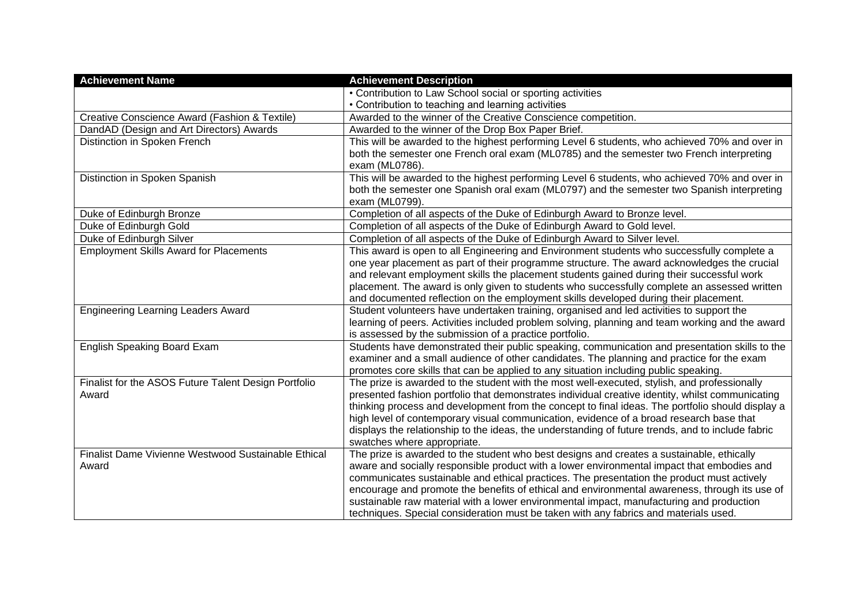| <b>Achievement Name</b>                              | <b>Achievement Description</b>                                                                                                                                                                       |
|------------------------------------------------------|------------------------------------------------------------------------------------------------------------------------------------------------------------------------------------------------------|
|                                                      | • Contribution to Law School social or sporting activities                                                                                                                                           |
|                                                      | • Contribution to teaching and learning activities                                                                                                                                                   |
| Creative Conscience Award (Fashion & Textile)        | Awarded to the winner of the Creative Conscience competition.                                                                                                                                        |
| DandAD (Design and Art Directors) Awards             | Awarded to the winner of the Drop Box Paper Brief.                                                                                                                                                   |
| Distinction in Spoken French                         | This will be awarded to the highest performing Level 6 students, who achieved 70% and over in                                                                                                        |
|                                                      | both the semester one French oral exam (ML0785) and the semester two French interpreting<br>exam (ML0786).                                                                                           |
| Distinction in Spoken Spanish                        | This will be awarded to the highest performing Level 6 students, who achieved 70% and over in                                                                                                        |
|                                                      | both the semester one Spanish oral exam (ML0797) and the semester two Spanish interpreting<br>exam (ML0799).                                                                                         |
| Duke of Edinburgh Bronze                             | Completion of all aspects of the Duke of Edinburgh Award to Bronze level.                                                                                                                            |
| Duke of Edinburgh Gold                               | Completion of all aspects of the Duke of Edinburgh Award to Gold level.                                                                                                                              |
| Duke of Edinburgh Silver                             | Completion of all aspects of the Duke of Edinburgh Award to Silver level.                                                                                                                            |
| <b>Employment Skills Award for Placements</b>        | This award is open to all Engineering and Environment students who successfully complete a                                                                                                           |
|                                                      | one year placement as part of their programme structure. The award acknowledges the crucial                                                                                                          |
|                                                      | and relevant employment skills the placement students gained during their successful work                                                                                                            |
|                                                      | placement. The award is only given to students who successfully complete an assessed written                                                                                                         |
|                                                      | and documented reflection on the employment skills developed during their placement.                                                                                                                 |
| <b>Engineering Learning Leaders Award</b>            | Student volunteers have undertaken training, organised and led activities to support the                                                                                                             |
|                                                      | learning of peers. Activities included problem solving, planning and team working and the award                                                                                                      |
|                                                      | is assessed by the submission of a practice portfolio.                                                                                                                                               |
| English Speaking Board Exam                          | Students have demonstrated their public speaking, communication and presentation skills to the                                                                                                       |
|                                                      | examiner and a small audience of other candidates. The planning and practice for the exam                                                                                                            |
|                                                      | promotes core skills that can be applied to any situation including public speaking.                                                                                                                 |
| Finalist for the ASOS Future Talent Design Portfolio | The prize is awarded to the student with the most well-executed, stylish, and professionally                                                                                                         |
| Award                                                | presented fashion portfolio that demonstrates individual creative identity, whilst communicating<br>thinking process and development from the concept to final ideas. The portfolio should display a |
|                                                      | high level of contemporary visual communication, evidence of a broad research base that                                                                                                              |
|                                                      | displays the relationship to the ideas, the understanding of future trends, and to include fabric                                                                                                    |
|                                                      | swatches where appropriate.                                                                                                                                                                          |
| Finalist Dame Vivienne Westwood Sustainable Ethical  | The prize is awarded to the student who best designs and creates a sustainable, ethically                                                                                                            |
| Award                                                | aware and socially responsible product with a lower environmental impact that embodies and                                                                                                           |
|                                                      | communicates sustainable and ethical practices. The presentation the product must actively                                                                                                           |
|                                                      | encourage and promote the benefits of ethical and environmental awareness, through its use of                                                                                                        |
|                                                      | sustainable raw material with a lower environmental impact, manufacturing and production                                                                                                             |
|                                                      | techniques. Special consideration must be taken with any fabrics and materials used.                                                                                                                 |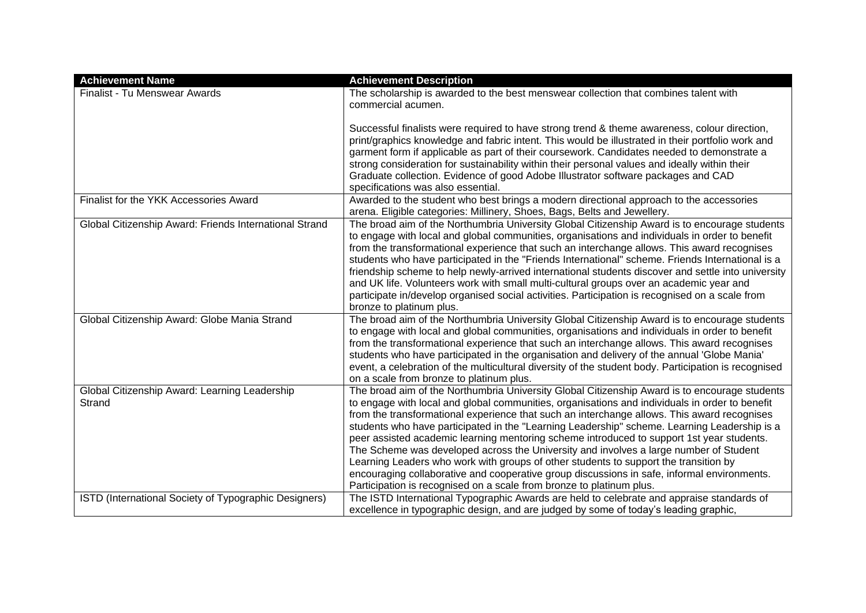| <b>Achievement Name</b>                                 | <b>Achievement Description</b>                                                                                                                                                                                                                                                                                                                                                                                                                                                                                                                                                                                                                                                                                                                                                                                                                      |
|---------------------------------------------------------|-----------------------------------------------------------------------------------------------------------------------------------------------------------------------------------------------------------------------------------------------------------------------------------------------------------------------------------------------------------------------------------------------------------------------------------------------------------------------------------------------------------------------------------------------------------------------------------------------------------------------------------------------------------------------------------------------------------------------------------------------------------------------------------------------------------------------------------------------------|
| Finalist - Tu Menswear Awards                           | The scholarship is awarded to the best menswear collection that combines talent with<br>commercial acumen.                                                                                                                                                                                                                                                                                                                                                                                                                                                                                                                                                                                                                                                                                                                                          |
|                                                         | Successful finalists were required to have strong trend & theme awareness, colour direction,<br>print/graphics knowledge and fabric intent. This would be illustrated in their portfolio work and<br>garment form if applicable as part of their coursework. Candidates needed to demonstrate a<br>strong consideration for sustainability within their personal values and ideally within their<br>Graduate collection. Evidence of good Adobe Illustrator software packages and CAD                                                                                                                                                                                                                                                                                                                                                               |
| Finalist for the YKK Accessories Award                  | specifications was also essential.<br>Awarded to the student who best brings a modern directional approach to the accessories<br>arena. Eligible categories: Millinery, Shoes, Bags, Belts and Jewellery.                                                                                                                                                                                                                                                                                                                                                                                                                                                                                                                                                                                                                                           |
| Global Citizenship Award: Friends International Strand  | The broad aim of the Northumbria University Global Citizenship Award is to encourage students<br>to engage with local and global communities, organisations and individuals in order to benefit<br>from the transformational experience that such an interchange allows. This award recognises<br>students who have participated in the "Friends International" scheme. Friends International is a<br>friendship scheme to help newly-arrived international students discover and settle into university<br>and UK life. Volunteers work with small multi-cultural groups over an academic year and<br>participate in/develop organised social activities. Participation is recognised on a scale from<br>bronze to platinum plus.                                                                                                                  |
| Global Citizenship Award: Globe Mania Strand            | The broad aim of the Northumbria University Global Citizenship Award is to encourage students<br>to engage with local and global communities, organisations and individuals in order to benefit<br>from the transformational experience that such an interchange allows. This award recognises<br>students who have participated in the organisation and delivery of the annual 'Globe Mania'<br>event, a celebration of the multicultural diversity of the student body. Participation is recognised<br>on a scale from bronze to platinum plus.                                                                                                                                                                                                                                                                                                   |
| Global Citizenship Award: Learning Leadership<br>Strand | The broad aim of the Northumbria University Global Citizenship Award is to encourage students<br>to engage with local and global communities, organisations and individuals in order to benefit<br>from the transformational experience that such an interchange allows. This award recognises<br>students who have participated in the "Learning Leadership" scheme. Learning Leadership is a<br>peer assisted academic learning mentoring scheme introduced to support 1st year students.<br>The Scheme was developed across the University and involves a large number of Student<br>Learning Leaders who work with groups of other students to support the transition by<br>encouraging collaborative and cooperative group discussions in safe, informal environments.<br>Participation is recognised on a scale from bronze to platinum plus. |
| ISTD (International Society of Typographic Designers)   | The ISTD International Typographic Awards are held to celebrate and appraise standards of<br>excellence in typographic design, and are judged by some of today's leading graphic,                                                                                                                                                                                                                                                                                                                                                                                                                                                                                                                                                                                                                                                                   |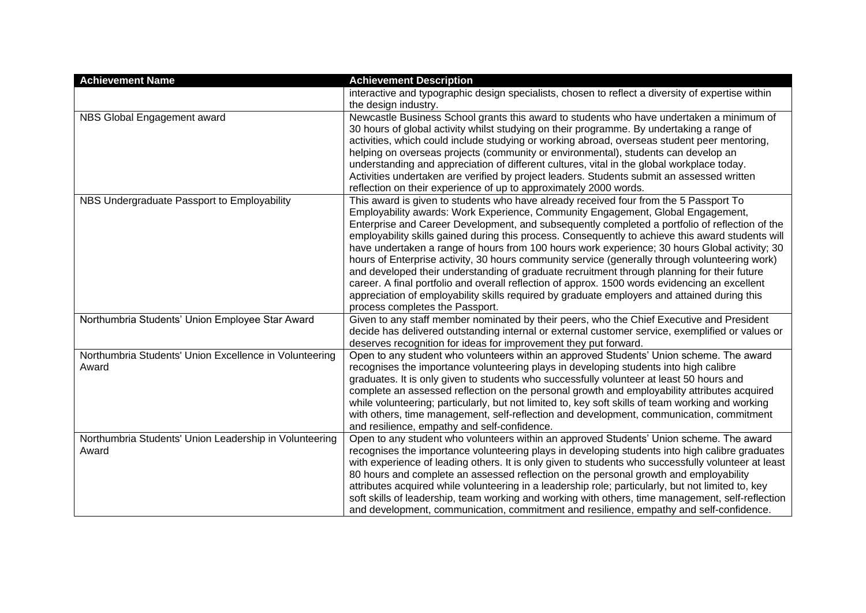| <b>Achievement Name</b>                                         | <b>Achievement Description</b>                                                                                                                                                                                                                                                                                                                                                                                                                                                                                                                                                                                                                                                                                                                                                                                                                                                                                         |
|-----------------------------------------------------------------|------------------------------------------------------------------------------------------------------------------------------------------------------------------------------------------------------------------------------------------------------------------------------------------------------------------------------------------------------------------------------------------------------------------------------------------------------------------------------------------------------------------------------------------------------------------------------------------------------------------------------------------------------------------------------------------------------------------------------------------------------------------------------------------------------------------------------------------------------------------------------------------------------------------------|
|                                                                 | interactive and typographic design specialists, chosen to reflect a diversity of expertise within<br>the design industry.                                                                                                                                                                                                                                                                                                                                                                                                                                                                                                                                                                                                                                                                                                                                                                                              |
| NBS Global Engagement award                                     | Newcastle Business School grants this award to students who have undertaken a minimum of<br>30 hours of global activity whilst studying on their programme. By undertaking a range of<br>activities, which could include studying or working abroad, overseas student peer mentoring,<br>helping on overseas projects (community or environmental), students can develop an<br>understanding and appreciation of different cultures, vital in the global workplace today.<br>Activities undertaken are verified by project leaders. Students submit an assessed written<br>reflection on their experience of up to approximately 2000 words.                                                                                                                                                                                                                                                                           |
| NBS Undergraduate Passport to Employability                     | This award is given to students who have already received four from the 5 Passport To<br>Employability awards: Work Experience, Community Engagement, Global Engagement,<br>Enterprise and Career Development, and subsequently completed a portfolio of reflection of the<br>employability skills gained during this process. Consequently to achieve this award students will<br>have undertaken a range of hours from 100 hours work experience; 30 hours Global activity; 30<br>hours of Enterprise activity, 30 hours community service (generally through volunteering work)<br>and developed their understanding of graduate recruitment through planning for their future<br>career. A final portfolio and overall reflection of approx. 1500 words evidencing an excellent<br>appreciation of employability skills required by graduate employers and attained during this<br>process completes the Passport. |
| Northumbria Students' Union Employee Star Award                 | Given to any staff member nominated by their peers, who the Chief Executive and President<br>decide has delivered outstanding internal or external customer service, exemplified or values or<br>deserves recognition for ideas for improvement they put forward.                                                                                                                                                                                                                                                                                                                                                                                                                                                                                                                                                                                                                                                      |
| Northumbria Students' Union Excellence in Volunteering<br>Award | Open to any student who volunteers within an approved Students' Union scheme. The award<br>recognises the importance volunteering plays in developing students into high calibre<br>graduates. It is only given to students who successfully volunteer at least 50 hours and<br>complete an assessed reflection on the personal growth and employability attributes acquired<br>while volunteering; particularly, but not limited to, key soft skills of team working and working<br>with others, time management, self-reflection and development, communication, commitment<br>and resilience, empathy and self-confidence.                                                                                                                                                                                                                                                                                          |
| Northumbria Students' Union Leadership in Volunteering<br>Award | Open to any student who volunteers within an approved Students' Union scheme. The award<br>recognises the importance volunteering plays in developing students into high calibre graduates<br>with experience of leading others. It is only given to students who successfully volunteer at least<br>80 hours and complete an assessed reflection on the personal growth and employability<br>attributes acquired while volunteering in a leadership role; particularly, but not limited to, key<br>soft skills of leadership, team working and working with others, time management, self-reflection<br>and development, communication, commitment and resilience, empathy and self-confidence.                                                                                                                                                                                                                       |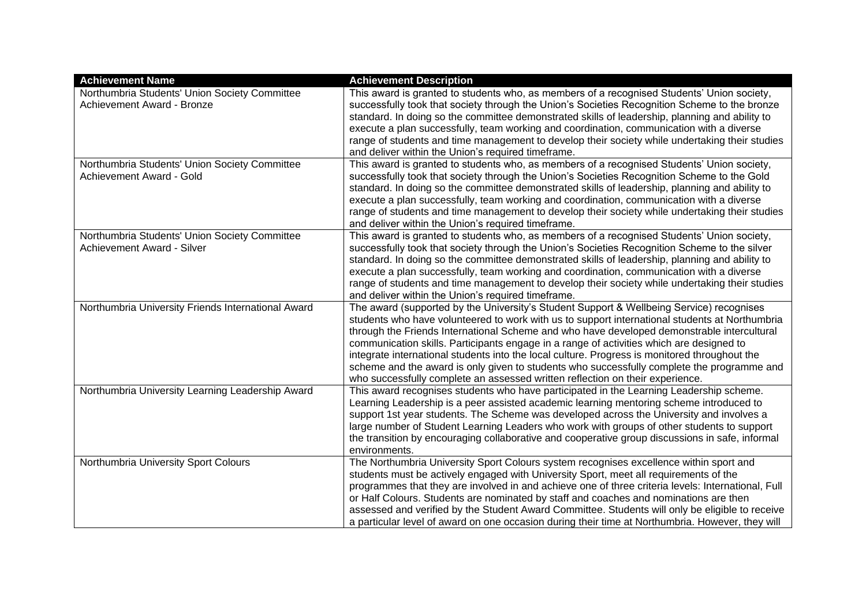| <b>Achievement Name</b>                                                     | <b>Achievement Description</b>                                                                                                                                                                                                                                                                                                                                                                                                                                                                                                                                                                                                                                       |
|-----------------------------------------------------------------------------|----------------------------------------------------------------------------------------------------------------------------------------------------------------------------------------------------------------------------------------------------------------------------------------------------------------------------------------------------------------------------------------------------------------------------------------------------------------------------------------------------------------------------------------------------------------------------------------------------------------------------------------------------------------------|
| Northumbria Students' Union Society Committee<br>Achievement Award - Bronze | This award is granted to students who, as members of a recognised Students' Union society,<br>successfully took that society through the Union's Societies Recognition Scheme to the bronze<br>standard. In doing so the committee demonstrated skills of leadership, planning and ability to<br>execute a plan successfully, team working and coordination, communication with a diverse<br>range of students and time management to develop their society while undertaking their studies<br>and deliver within the Union's required timeframe.                                                                                                                    |
| Northumbria Students' Union Society Committee<br>Achievement Award - Gold   | This award is granted to students who, as members of a recognised Students' Union society,<br>successfully took that society through the Union's Societies Recognition Scheme to the Gold<br>standard. In doing so the committee demonstrated skills of leadership, planning and ability to<br>execute a plan successfully, team working and coordination, communication with a diverse<br>range of students and time management to develop their society while undertaking their studies<br>and deliver within the Union's required timeframe.                                                                                                                      |
| Northumbria Students' Union Society Committee<br>Achievement Award - Silver | This award is granted to students who, as members of a recognised Students' Union society,<br>successfully took that society through the Union's Societies Recognition Scheme to the silver<br>standard. In doing so the committee demonstrated skills of leadership, planning and ability to<br>execute a plan successfully, team working and coordination, communication with a diverse<br>range of students and time management to develop their society while undertaking their studies<br>and deliver within the Union's required timeframe.                                                                                                                    |
| Northumbria University Friends International Award                          | The award (supported by the University's Student Support & Wellbeing Service) recognises<br>students who have volunteered to work with us to support international students at Northumbria<br>through the Friends International Scheme and who have developed demonstrable intercultural<br>communication skills. Participants engage in a range of activities which are designed to<br>integrate international students into the local culture. Progress is monitored throughout the<br>scheme and the award is only given to students who successfully complete the programme and<br>who successfully complete an assessed written reflection on their experience. |
| Northumbria University Learning Leadership Award                            | This award recognises students who have participated in the Learning Leadership scheme.<br>Learning Leadership is a peer assisted academic learning mentoring scheme introduced to<br>support 1st year students. The Scheme was developed across the University and involves a<br>large number of Student Learning Leaders who work with groups of other students to support<br>the transition by encouraging collaborative and cooperative group discussions in safe, informal<br>environments.                                                                                                                                                                     |
| Northumbria University Sport Colours                                        | The Northumbria University Sport Colours system recognises excellence within sport and<br>students must be actively engaged with University Sport, meet all requirements of the<br>programmes that they are involved in and achieve one of three criteria levels: International, Full<br>or Half Colours. Students are nominated by staff and coaches and nominations are then<br>assessed and verified by the Student Award Committee. Students will only be eligible to receive<br>a particular level of award on one occasion during their time at Northumbria. However, they will                                                                                |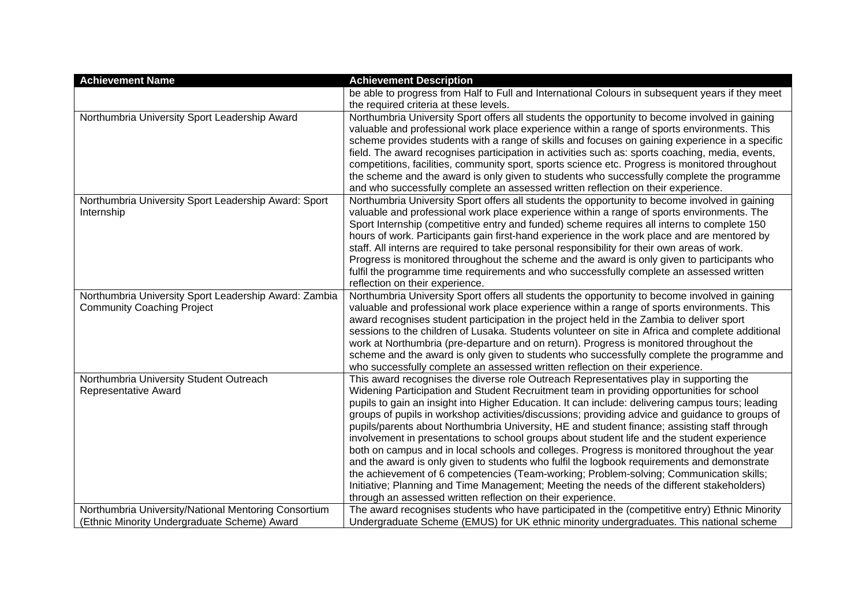| <b>Achievement Name</b>                               | <b>Achievement Description</b>                                                                                                                                                  |
|-------------------------------------------------------|---------------------------------------------------------------------------------------------------------------------------------------------------------------------------------|
|                                                       | be able to progress from Half to Full and International Colours in subsequent years if they meet                                                                                |
|                                                       | the required criteria at these levels.                                                                                                                                          |
| Northumbria University Sport Leadership Award         | Northumbria University Sport offers all students the opportunity to become involved in gaining                                                                                  |
|                                                       | valuable and professional work place experience within a range of sports environments. This                                                                                     |
|                                                       | scheme provides students with a range of skills and focuses on gaining experience in a specific                                                                                 |
|                                                       | field. The award recognises participation in activities such as: sports coaching, media, events,                                                                                |
|                                                       | competitions, facilities, community sport, sports science etc. Progress is monitored throughout                                                                                 |
|                                                       | the scheme and the award is only given to students who successfully complete the programme<br>and who successfully complete an assessed written reflection on their experience. |
| Northumbria University Sport Leadership Award: Sport  | Northumbria University Sport offers all students the opportunity to become involved in gaining                                                                                  |
| Internship                                            | valuable and professional work place experience within a range of sports environments. The                                                                                      |
|                                                       | Sport Internship (competitive entry and funded) scheme requires all interns to complete 150                                                                                     |
|                                                       | hours of work. Participants gain first-hand experience in the work place and are mentored by                                                                                    |
|                                                       | staff. All interns are required to take personal responsibility for their own areas of work.                                                                                    |
|                                                       | Progress is monitored throughout the scheme and the award is only given to participants who                                                                                     |
|                                                       | fulfil the programme time requirements and who successfully complete an assessed written                                                                                        |
|                                                       | reflection on their experience.                                                                                                                                                 |
| Northumbria University Sport Leadership Award: Zambia | Northumbria University Sport offers all students the opportunity to become involved in gaining                                                                                  |
| <b>Community Coaching Project</b>                     | valuable and professional work place experience within a range of sports environments. This                                                                                     |
|                                                       | award recognises student participation in the project held in the Zambia to deliver sport                                                                                       |
|                                                       | sessions to the children of Lusaka. Students volunteer on site in Africa and complete additional                                                                                |
|                                                       | work at Northumbria (pre-departure and on return). Progress is monitored throughout the                                                                                         |
|                                                       | scheme and the award is only given to students who successfully complete the programme and                                                                                      |
|                                                       | who successfully complete an assessed written reflection on their experience.                                                                                                   |
| Northumbria University Student Outreach               | This award recognises the diverse role Outreach Representatives play in supporting the                                                                                          |
| Representative Award                                  | Widening Participation and Student Recruitment team in providing opportunities for school                                                                                       |
|                                                       | pupils to gain an insight into Higher Education. It can include: delivering campus tours; leading                                                                               |
|                                                       | groups of pupils in workshop activities/discussions; providing advice and guidance to groups of                                                                                 |
|                                                       | pupils/parents about Northumbria University, HE and student finance; assisting staff through                                                                                    |
|                                                       | involvement in presentations to school groups about student life and the student experience                                                                                     |
|                                                       | both on campus and in local schools and colleges. Progress is monitored throughout the year                                                                                     |
|                                                       | and the award is only given to students who fulfil the logbook requirements and demonstrate                                                                                     |
|                                                       | the achievement of 6 competencies (Team-working; Problem-solving; Communication skills;                                                                                         |
|                                                       | Initiative; Planning and Time Management; Meeting the needs of the different stakeholders)                                                                                      |
|                                                       | through an assessed written reflection on their experience.                                                                                                                     |
| Northumbria University/National Mentoring Consortium  | The award recognises students who have participated in the (competitive entry) Ethnic Minority                                                                                  |
| (Ethnic Minority Undergraduate Scheme) Award          | Undergraduate Scheme (EMUS) for UK ethnic minority undergraduates. This national scheme                                                                                         |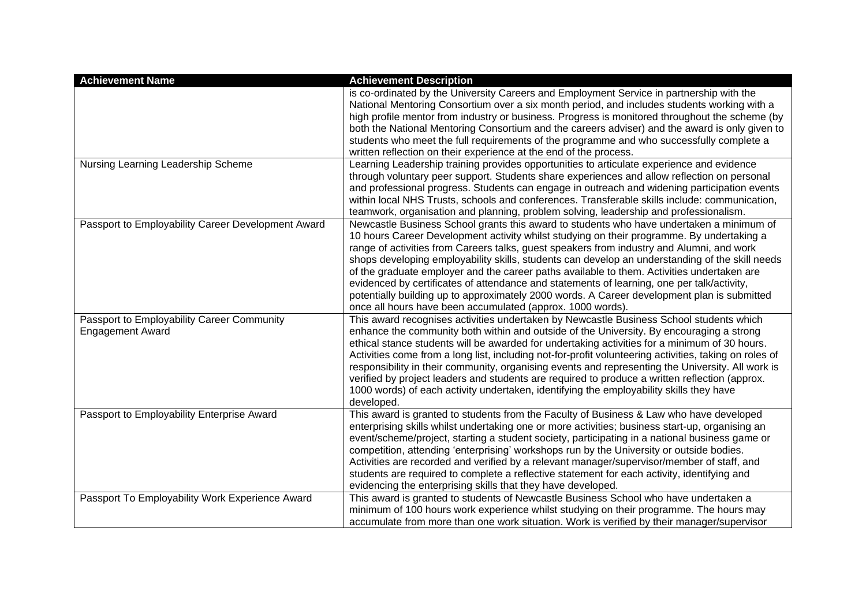| <b>Achievement Name</b>                                               | <b>Achievement Description</b>                                                                                                                                                                                                                                                                                                                                                                                                                                                                                                                                                                                                                                                                                                                 |
|-----------------------------------------------------------------------|------------------------------------------------------------------------------------------------------------------------------------------------------------------------------------------------------------------------------------------------------------------------------------------------------------------------------------------------------------------------------------------------------------------------------------------------------------------------------------------------------------------------------------------------------------------------------------------------------------------------------------------------------------------------------------------------------------------------------------------------|
|                                                                       | is co-ordinated by the University Careers and Employment Service in partnership with the<br>National Mentoring Consortium over a six month period, and includes students working with a<br>high profile mentor from industry or business. Progress is monitored throughout the scheme (by<br>both the National Mentoring Consortium and the careers adviser) and the award is only given to<br>students who meet the full requirements of the programme and who successfully complete a<br>written reflection on their experience at the end of the process.                                                                                                                                                                                   |
| Nursing Learning Leadership Scheme                                    | Learning Leadership training provides opportunities to articulate experience and evidence<br>through voluntary peer support. Students share experiences and allow reflection on personal<br>and professional progress. Students can engage in outreach and widening participation events<br>within local NHS Trusts, schools and conferences. Transferable skills include: communication,<br>teamwork, organisation and planning, problem solving, leadership and professionalism.                                                                                                                                                                                                                                                             |
| Passport to Employability Career Development Award                    | Newcastle Business School grants this award to students who have undertaken a minimum of<br>10 hours Career Development activity whilst studying on their programme. By undertaking a<br>range of activities from Careers talks, guest speakers from industry and Alumni, and work<br>shops developing employability skills, students can develop an understanding of the skill needs<br>of the graduate employer and the career paths available to them. Activities undertaken are<br>evidenced by certificates of attendance and statements of learning, one per talk/activity,<br>potentially building up to approximately 2000 words. A Career development plan is submitted<br>once all hours have been accumulated (approx. 1000 words). |
| Passport to Employability Career Community<br><b>Engagement Award</b> | This award recognises activities undertaken by Newcastle Business School students which<br>enhance the community both within and outside of the University. By encouraging a strong<br>ethical stance students will be awarded for undertaking activities for a minimum of 30 hours.<br>Activities come from a long list, including not-for-profit volunteering activities, taking on roles of<br>responsibility in their community, organising events and representing the University. All work is<br>verified by project leaders and students are required to produce a written reflection (approx.<br>1000 words) of each activity undertaken, identifying the employability skills they have<br>developed.                                 |
| Passport to Employability Enterprise Award                            | This award is granted to students from the Faculty of Business & Law who have developed<br>enterprising skills whilst undertaking one or more activities; business start-up, organising an<br>event/scheme/project, starting a student society, participating in a national business game or<br>competition, attending 'enterprising' workshops run by the University or outside bodies.<br>Activities are recorded and verified by a relevant manager/supervisor/member of staff, and<br>students are required to complete a reflective statement for each activity, identifying and<br>evidencing the enterprising skills that they have developed.                                                                                          |
| Passport To Employability Work Experience Award                       | This award is granted to students of Newcastle Business School who have undertaken a<br>minimum of 100 hours work experience whilst studying on their programme. The hours may<br>accumulate from more than one work situation. Work is verified by their manager/supervisor                                                                                                                                                                                                                                                                                                                                                                                                                                                                   |